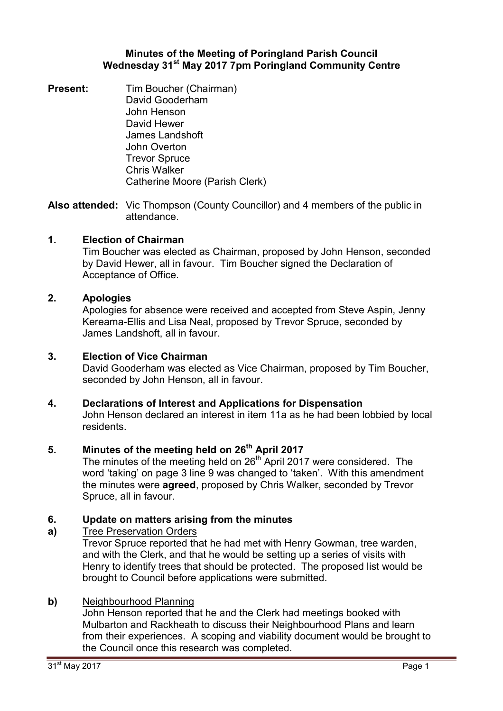### **Minutes of the Meeting of Poringland Parish Council Wednesday 31st May 2017 7pm Poringland Community Centre**

**Present:** Tim Boucher (Chairman) David Gooderham John Henson David Hewer James Landshoft John Overton Trevor Spruce Chris Walker Catherine Moore (Parish Clerk)

**Also attended:** Vic Thompson (County Councillor) and 4 members of the public in attendance.

# **1. Election of Chairman**

Tim Boucher was elected as Chairman, proposed by John Henson, seconded by David Hewer, all in favour. Tim Boucher signed the Declaration of Acceptance of Office.

### **2. Apologies**

Apologies for absence were received and accepted from Steve Aspin, Jenny Kereama-Ellis and Lisa Neal, proposed by Trevor Spruce, seconded by James Landshoft, all in favour.

### **3. Election of Vice Chairman**

David Gooderham was elected as Vice Chairman, proposed by Tim Boucher, seconded by John Henson, all in favour.

### **4. Declarations of Interest and Applications for Dispensation**

John Henson declared an interest in item 11a as he had been lobbied by local residents.

# **5. Minutes of the meeting held on 26th April 2017**

The minutes of the meeting held on  $26<sup>th</sup>$  April 2017 were considered. The word 'taking' on page 3 line 9 was changed to 'taken'. With this amendment the minutes were **agreed**, proposed by Chris Walker, seconded by Trevor Spruce, all in favour.

#### **6. Update on matters arising from the minutes**

#### **a)**  Tree Preservation Orders

Trevor Spruce reported that he had met with Henry Gowman, tree warden, and with the Clerk, and that he would be setting up a series of visits with Henry to identify trees that should be protected. The proposed list would be brought to Council before applications were submitted.

### **b)** Neighbourhood Planning

John Henson reported that he and the Clerk had meetings booked with Mulbarton and Rackheath to discuss their Neighbourhood Plans and learn from their experiences. A scoping and viability document would be brought to the Council once this research was completed.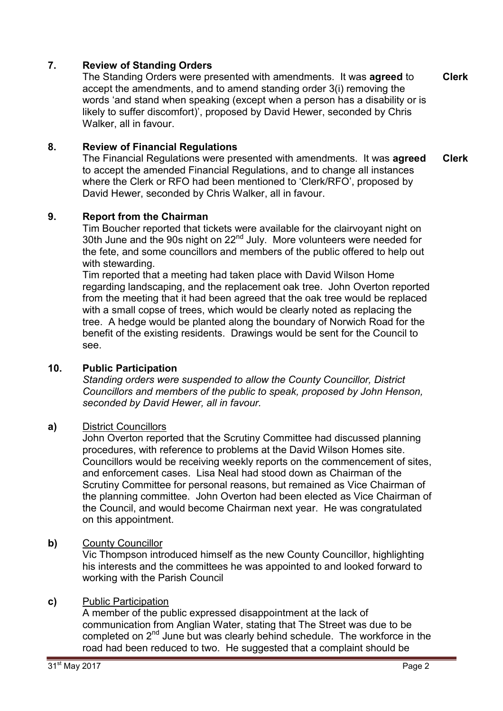# **7. Review of Standing Orders**

The Standing Orders were presented with amendments. It was **agreed** to accept the amendments, and to amend standing order 3(i) removing the words 'and stand when speaking (except when a person has a disability or is likely to suffer discomfort)', proposed by David Hewer, seconded by Chris Walker, all in favour. **Clerk**

# **8. Review of Financial Regulations**

The Financial Regulations were presented with amendments. It was **agreed** to accept the amended Financial Regulations, and to change all instances where the Clerk or RFO had been mentioned to 'Clerk/RFO', proposed by David Hewer, seconded by Chris Walker, all in favour. **Clerk**

# **9. Report from the Chairman**

Tim Boucher reported that tickets were available for the clairvoyant night on 30th June and the 90s night on 22<sup>nd</sup> July. More volunteers were needed for the fete, and some councillors and members of the public offered to help out with stewarding.

Tim reported that a meeting had taken place with David Wilson Home regarding landscaping, and the replacement oak tree. John Overton reported from the meeting that it had been agreed that the oak tree would be replaced with a small copse of trees, which would be clearly noted as replacing the tree. A hedge would be planted along the boundary of Norwich Road for the benefit of the existing residents. Drawings would be sent for the Council to see.

# **10. Public Participation**

*Standing orders were suspended to allow the County Councillor, District Councillors and members of the public to speak, proposed by John Henson, seconded by David Hewer, all in favour.* 

# **a)** District Councillors

John Overton reported that the Scrutiny Committee had discussed planning procedures, with reference to problems at the David Wilson Homes site. Councillors would be receiving weekly reports on the commencement of sites, and enforcement cases. Lisa Neal had stood down as Chairman of the Scrutiny Committee for personal reasons, but remained as Vice Chairman of the planning committee. John Overton had been elected as Vice Chairman of the Council, and would become Chairman next year. He was congratulated on this appointment.

# **b)** County Councillor

Vic Thompson introduced himself as the new County Councillor, highlighting his interests and the committees he was appointed to and looked forward to working with the Parish Council

# **c)** Public Participation

A member of the public expressed disappointment at the lack of communication from Anglian Water, stating that The Street was due to be completed on 2<sup>nd</sup> June but was clearly behind schedule. The workforce in the road had been reduced to two. He suggested that a complaint should be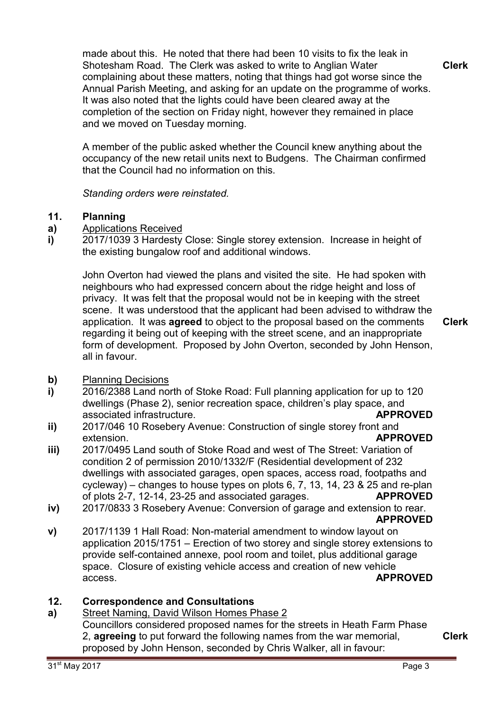made about this. He noted that there had been 10 visits to fix the leak in Shotesham Road. The Clerk was asked to write to Anglian Water complaining about these matters, noting that things had got worse since the Annual Parish Meeting, and asking for an update on the programme of works. It was also noted that the lights could have been cleared away at the completion of the section on Friday night, however they remained in place and we moved on Tuesday morning.

**Clerk**

A member of the public asked whether the Council knew anything about the occupancy of the new retail units next to Budgens. The Chairman confirmed that the Council had no information on this.

*Standing orders were reinstated.* 

#### **11. Planning**

- **a)**  Applications Received
- **i)**  2017/1039 3 Hardesty Close: Single storey extension. Increase in height of the existing bungalow roof and additional windows.

John Overton had viewed the plans and visited the site. He had spoken with neighbours who had expressed concern about the ridge height and loss of privacy. It was felt that the proposal would not be in keeping with the street scene. It was understood that the applicant had been advised to withdraw the application. It was **agreed** to object to the proposal based on the comments regarding it being out of keeping with the street scene, and an inappropriate form of development. Proposed by John Overton, seconded by John Henson, all in favour.

- **b)** Planning Decisions
- **i)**  2016/2388 Land north of Stoke Road: Full planning application for up to 120 dwellings (Phase 2), senior recreation space, children's play space, and associated infrastructure. **APPROVED**
- **ii)**  2017/046 10 Rosebery Avenue: Construction of single storey front and extension. **APPROVED**
- **iii)**  2017/0495 Land south of Stoke Road and west of The Street: Variation of condition 2 of permission 2010/1332/F (Residential development of 232 dwellings with associated garages, open spaces, access road, footpaths and cycleway) – changes to house types on plots 6, 7, 13, 14, 23 & 25 and re-plan of plots 2-7, 12-14, 23-25 and associated garages. **APPROVED**
- **iv)**  2017/0833 3 Rosebery Avenue: Conversion of garage and extension to rear. **APPROVED**
- **v)**  2017/1139 1 Hall Road: Non-material amendment to window layout on application 2015/1751 – Erection of two storey and single storey extensions to provide self-contained annexe, pool room and toilet, plus additional garage space. Closure of existing vehicle access and creation of new vehicle access. **APPROVED**

#### **12. Correspondence and Consultations**

**a)**  Street Naming, David Wilson Homes Phase 2 Councillors considered proposed names for the streets in Heath Farm Phase 2, **agreeing** to put forward the following names from the war memorial, proposed by John Henson, seconded by Chris Walker, all in favour:

**Clerk**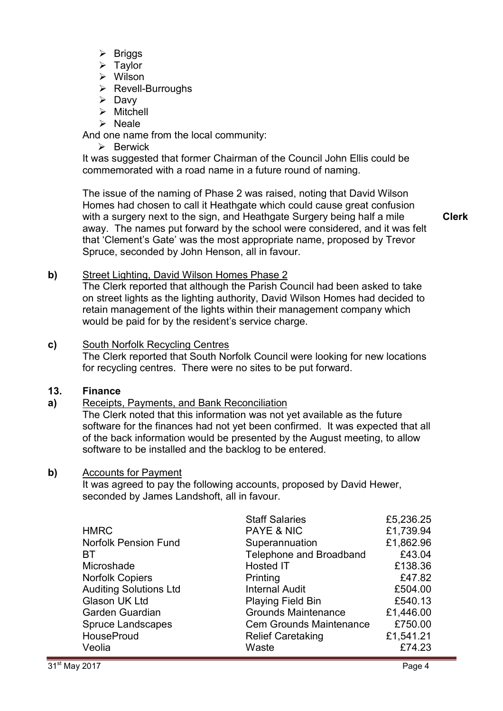- $\triangleright$  Briggs
- $\triangleright$  Taylor
- Wilson
- $\triangleright$  Revell-Burroughs
- $\triangleright$  Davy
- > Mitchell
- $\triangleright$  Neale

And one name from the local community:

 $\triangleright$  Berwick

It was suggested that former Chairman of the Council John Ellis could be commemorated with a road name in a future round of naming.

The issue of the naming of Phase 2 was raised, noting that David Wilson Homes had chosen to call it Heathgate which could cause great confusion with a surgery next to the sign, and Heathgate Surgery being half a mile away. The names put forward by the school were considered, and it was felt that 'Clement's Gate' was the most appropriate name, proposed by Trevor Spruce, seconded by John Henson, all in favour.

**Clerk**

### **b)** Street Lighting, David Wilson Homes Phase 2

The Clerk reported that although the Parish Council had been asked to take on street lights as the lighting authority, David Wilson Homes had decided to retain management of the lights within their management company which would be paid for by the resident's service charge.

### **c)** South Norfolk Recycling Centres

The Clerk reported that South Norfolk Council were looking for new locations for recycling centres. There were no sites to be put forward.

#### **13. Finance**

#### **a)**  Receipts, Payments, and Bank Reconciliation

The Clerk noted that this information was not yet available as the future software for the finances had not yet been confirmed. It was expected that all of the back information would be presented by the August meeting, to allow software to be installed and the backlog to be entered.

### **b)** Accounts for Payment

It was agreed to pay the following accounts, proposed by David Hewer, seconded by James Landshoft, all in favour.

|                               | <b>Staff Salaries</b>          | £5,236.25 |
|-------------------------------|--------------------------------|-----------|
| <b>HMRC</b>                   | <b>PAYE &amp; NIC</b>          | £1,739.94 |
| <b>Norfolk Pension Fund</b>   | Superannuation                 | £1,862.96 |
| BT.                           | Telephone and Broadband        | £43.04    |
| Microshade                    | Hosted IT                      | £138.36   |
| <b>Norfolk Copiers</b>        | Printing                       | £47.82    |
| <b>Auditing Solutions Ltd</b> | <b>Internal Audit</b>          | £504.00   |
| Glason UK Ltd                 | <b>Playing Field Bin</b>       | £540.13   |
| Garden Guardian               | <b>Grounds Maintenance</b>     | £1,446.00 |
| Spruce Landscapes             | <b>Cem Grounds Maintenance</b> | £750.00   |
| HouseProud                    | <b>Relief Caretaking</b>       | £1,541.21 |
| Veolia                        | Waste                          | £74.23    |
|                               |                                |           |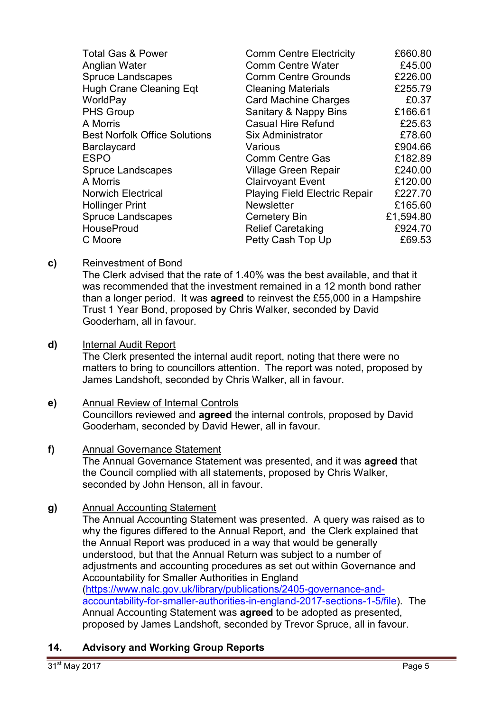| <b>Total Gas &amp; Power</b>         | <b>Comm Centre Electricity</b>       | £660.80   |
|--------------------------------------|--------------------------------------|-----------|
| Anglian Water                        | <b>Comm Centre Water</b>             | £45.00    |
| <b>Spruce Landscapes</b>             | <b>Comm Centre Grounds</b>           | £226.00   |
| <b>Hugh Crane Cleaning Eqt</b>       | <b>Cleaning Materials</b>            | £255.79   |
| WorldPay                             | <b>Card Machine Charges</b>          | £0.37     |
| <b>PHS Group</b>                     | Sanitary & Nappy Bins                | £166.61   |
| A Morris                             | <b>Casual Hire Refund</b>            | £25.63    |
| <b>Best Norfolk Office Solutions</b> | <b>Six Administrator</b>             | £78.60    |
| Barclaycard                          | Various                              | £904.66   |
| <b>ESPO</b>                          | <b>Comm Centre Gas</b>               | £182.89   |
| <b>Spruce Landscapes</b>             | <b>Village Green Repair</b>          | £240.00   |
| A Morris                             | <b>Clairvoyant Event</b>             | £120.00   |
| <b>Norwich Electrical</b>            | <b>Playing Field Electric Repair</b> | £227.70   |
| <b>Hollinger Print</b>               | <b>Newsletter</b>                    | £165.60   |
| <b>Spruce Landscapes</b>             | Cemetery Bin                         | £1,594.80 |
| <b>HouseProud</b>                    | <b>Relief Caretaking</b>             | £924.70   |
| C Moore                              | Petty Cash Top Up                    | £69.53    |

# **c)** Reinvestment of Bond

The Clerk advised that the rate of 1.40% was the best available, and that it was recommended that the investment remained in a 12 month bond rather than a longer period. It was **agreed** to reinvest the £55,000 in a Hampshire Trust 1 Year Bond, proposed by Chris Walker, seconded by David Gooderham, all in favour.

### **d)** Internal Audit Report

The Clerk presented the internal audit report, noting that there were no matters to bring to councillors attention. The report was noted, proposed by James Landshoft, seconded by Chris Walker, all in favour.

### **e)** Annual Review of Internal Controls Councillors reviewed and **agreed** the internal controls, proposed by David Gooderham, seconded by David Hewer, all in favour.

# **f)** Annual Governance Statement The Annual Governance Statement was presented, and it was **agreed** that

the Council complied with all statements, proposed by Chris Walker, seconded by John Henson, all in favour.

# **g)** Annual Accounting Statement

The Annual Accounting Statement was presented. A query was raised as to why the figures differed to the Annual Report, and the Clerk explained that the Annual Report was produced in a way that would be generally understood, but that the Annual Return was subject to a number of adjustments and accounting procedures as set out within Governance and Accountability for Smaller Authorities in England (https://www.nalc.gov.uk/library/publications/2405-governance-andaccountability-for-smaller-authorities-in-england-2017-sections-1-5/file). The Annual Accounting Statement was **agreed** to be adopted as presented, proposed by James Landshoft, seconded by Trevor Spruce, all in favour.

# **14. Advisory and Working Group Reports**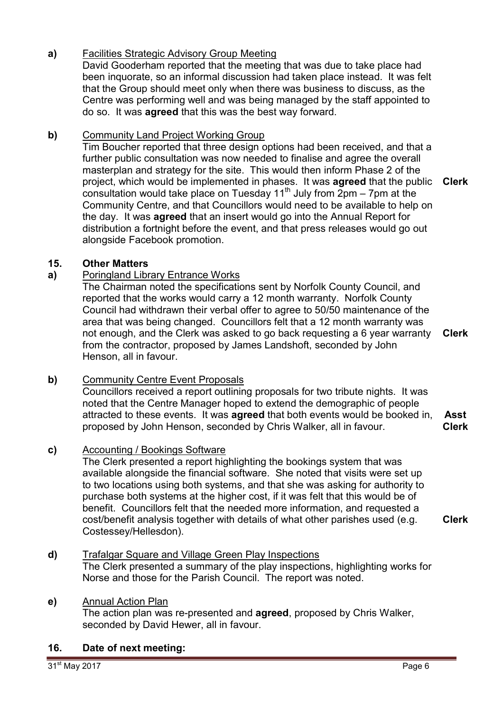# **a)** Facilities Strategic Advisory Group Meeting

David Gooderham reported that the meeting that was due to take place had been inquorate, so an informal discussion had taken place instead. It was felt that the Group should meet only when there was business to discuss, as the Centre was performing well and was being managed by the staff appointed to do so. It was **agreed** that this was the best way forward.

# **b)** Community Land Project Working Group

Tim Boucher reported that three design options had been received, and that a further public consultation was now needed to finalise and agree the overall masterplan and strategy for the site. This would then inform Phase 2 of the project, which would be implemented in phases. It was **agreed** that the public **Clerk** consultation would take place on Tuesday  $11<sup>th</sup>$  July from 2pm – 7pm at the Community Centre, and that Councillors would need to be available to help on the day. It was **agreed** that an insert would go into the Annual Report for distribution a fortnight before the event, and that press releases would go out alongside Facebook promotion.

### **15. Other Matters**

# **a)** Poringland Library Entrance Works

The Chairman noted the specifications sent by Norfolk County Council, and reported that the works would carry a 12 month warranty. Norfolk County Council had withdrawn their verbal offer to agree to 50/50 maintenance of the area that was being changed. Councillors felt that a 12 month warranty was not enough, and the Clerk was asked to go back requesting a 6 year warranty from the contractor, proposed by James Landshoft, seconded by John Henson, all in favour. **Clerk**

### **b)** Community Centre Event Proposals

Councillors received a report outlining proposals for two tribute nights. It was noted that the Centre Manager hoped to extend the demographic of people attracted to these events. It was **agreed** that both events would be booked in, proposed by John Henson, seconded by Chris Walker, all in favour. **Asst Clerk**

# **c)** Accounting / Bookings Software

The Clerk presented a report highlighting the bookings system that was available alongside the financial software. She noted that visits were set up to two locations using both systems, and that she was asking for authority to purchase both systems at the higher cost, if it was felt that this would be of benefit. Councillors felt that the needed more information, and requested a cost/benefit analysis together with details of what other parishes used (e.g. Costessey/Hellesdon).

### **d)** Trafalgar Square and Village Green Play Inspections The Clerk presented a summary of the play inspections, highlighting works for Norse and those for the Parish Council. The report was noted.

# **e)** Annual Action Plan

The action plan was re-presented and **agreed**, proposed by Chris Walker, seconded by David Hewer, all in favour.

### **16. Date of next meeting:**

**Clerk**